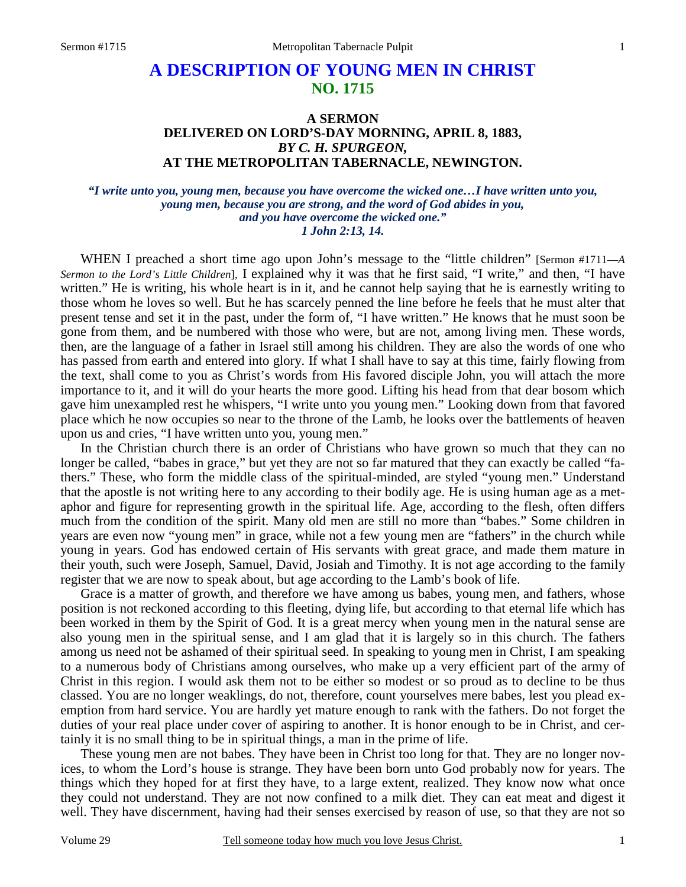# **A DESCRIPTION OF YOUNG MEN IN CHRIST NO. 1715**

## **A SERMON DELIVERED ON LORD'S-DAY MORNING, APRIL 8, 1883,**  *BY C. H. SPURGEON,*  **AT THE METROPOLITAN TABERNACLE, NEWINGTON.**

### *"I write unto you, young men, because you have overcome the wicked one…I have written unto you, young men, because you are strong, and the word of God abides in you, and you have overcome the wicked one." 1 John 2:13, 14.*

WHEN I preached a short time ago upon John's message to the "little children" [Sermon #1711—*A Sermon to the Lord's Little Children*], I explained why it was that he first said, "I write," and then, "I have written." He is writing, his whole heart is in it, and he cannot help saying that he is earnestly writing to those whom he loves so well. But he has scarcely penned the line before he feels that he must alter that present tense and set it in the past, under the form of, "I have written." He knows that he must soon be gone from them, and be numbered with those who were, but are not, among living men. These words, then, are the language of a father in Israel still among his children. They are also the words of one who has passed from earth and entered into glory. If what I shall have to say at this time, fairly flowing from the text, shall come to you as Christ's words from His favored disciple John, you will attach the more importance to it, and it will do your hearts the more good. Lifting his head from that dear bosom which gave him unexampled rest he whispers, "I write unto you young men." Looking down from that favored place which he now occupies so near to the throne of the Lamb, he looks over the battlements of heaven upon us and cries, "I have written unto you, young men."

 In the Christian church there is an order of Christians who have grown so much that they can no longer be called, "babes in grace," but yet they are not so far matured that they can exactly be called "fathers." These, who form the middle class of the spiritual-minded, are styled "young men." Understand that the apostle is not writing here to any according to their bodily age. He is using human age as a metaphor and figure for representing growth in the spiritual life. Age, according to the flesh, often differs much from the condition of the spirit. Many old men are still no more than "babes." Some children in years are even now "young men" in grace, while not a few young men are "fathers" in the church while young in years. God has endowed certain of His servants with great grace, and made them mature in their youth, such were Joseph, Samuel, David, Josiah and Timothy. It is not age according to the family register that we are now to speak about, but age according to the Lamb's book of life.

 Grace is a matter of growth, and therefore we have among us babes, young men, and fathers, whose position is not reckoned according to this fleeting, dying life, but according to that eternal life which has been worked in them by the Spirit of God. It is a great mercy when young men in the natural sense are also young men in the spiritual sense, and I am glad that it is largely so in this church. The fathers among us need not be ashamed of their spiritual seed. In speaking to young men in Christ, I am speaking to a numerous body of Christians among ourselves, who make up a very efficient part of the army of Christ in this region. I would ask them not to be either so modest or so proud as to decline to be thus classed. You are no longer weaklings, do not, therefore, count yourselves mere babes, lest you plead exemption from hard service. You are hardly yet mature enough to rank with the fathers. Do not forget the duties of your real place under cover of aspiring to another. It is honor enough to be in Christ, and certainly it is no small thing to be in spiritual things, a man in the prime of life.

 These young men are not babes. They have been in Christ too long for that. They are no longer novices, to whom the Lord's house is strange. They have been born unto God probably now for years. The things which they hoped for at first they have, to a large extent, realized. They know now what once they could not understand. They are not now confined to a milk diet. They can eat meat and digest it well. They have discernment, having had their senses exercised by reason of use, so that they are not so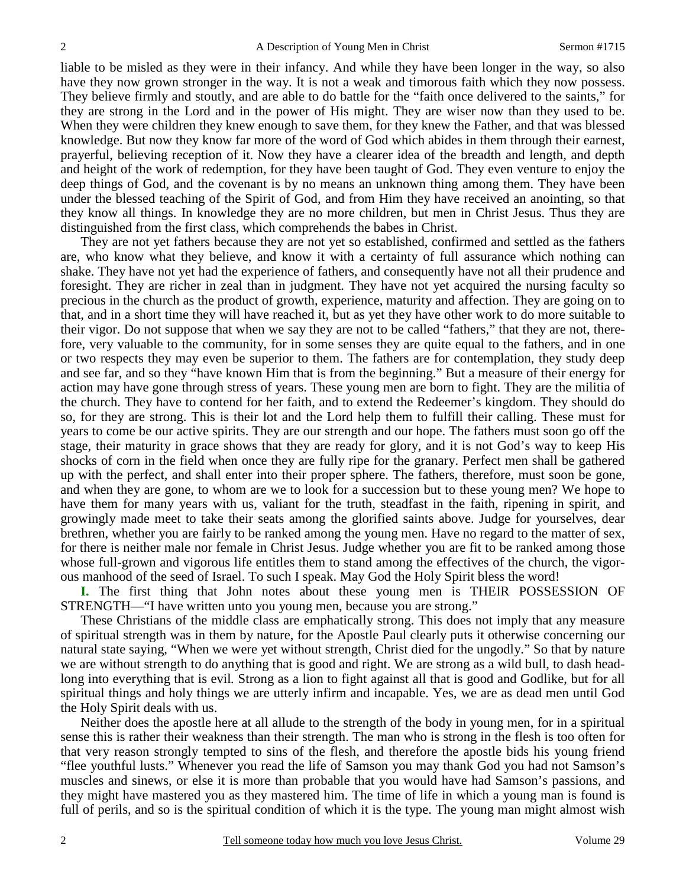liable to be misled as they were in their infancy. And while they have been longer in the way, so also have they now grown stronger in the way. It is not a weak and timorous faith which they now possess. They believe firmly and stoutly, and are able to do battle for the "faith once delivered to the saints," for they are strong in the Lord and in the power of His might. They are wiser now than they used to be. When they were children they knew enough to save them, for they knew the Father, and that was blessed knowledge. But now they know far more of the word of God which abides in them through their earnest, prayerful, believing reception of it. Now they have a clearer idea of the breadth and length, and depth and height of the work of redemption, for they have been taught of God. They even venture to enjoy the deep things of God, and the covenant is by no means an unknown thing among them. They have been under the blessed teaching of the Spirit of God, and from Him they have received an anointing, so that they know all things. In knowledge they are no more children, but men in Christ Jesus. Thus they are distinguished from the first class, which comprehends the babes in Christ.

 They are not yet fathers because they are not yet so established, confirmed and settled as the fathers are, who know what they believe, and know it with a certainty of full assurance which nothing can shake. They have not yet had the experience of fathers, and consequently have not all their prudence and foresight. They are richer in zeal than in judgment. They have not yet acquired the nursing faculty so precious in the church as the product of growth, experience, maturity and affection. They are going on to that, and in a short time they will have reached it, but as yet they have other work to do more suitable to their vigor. Do not suppose that when we say they are not to be called "fathers," that they are not, therefore, very valuable to the community, for in some senses they are quite equal to the fathers, and in one or two respects they may even be superior to them. The fathers are for contemplation, they study deep and see far, and so they "have known Him that is from the beginning." But a measure of their energy for action may have gone through stress of years. These young men are born to fight. They are the militia of the church. They have to contend for her faith, and to extend the Redeemer's kingdom. They should do so, for they are strong. This is their lot and the Lord help them to fulfill their calling. These must for years to come be our active spirits. They are our strength and our hope. The fathers must soon go off the stage, their maturity in grace shows that they are ready for glory, and it is not God's way to keep His shocks of corn in the field when once they are fully ripe for the granary. Perfect men shall be gathered up with the perfect, and shall enter into their proper sphere. The fathers, therefore, must soon be gone, and when they are gone, to whom are we to look for a succession but to these young men? We hope to have them for many years with us, valiant for the truth, steadfast in the faith, ripening in spirit, and growingly made meet to take their seats among the glorified saints above. Judge for yourselves, dear brethren, whether you are fairly to be ranked among the young men. Have no regard to the matter of sex, for there is neither male nor female in Christ Jesus. Judge whether you are fit to be ranked among those whose full-grown and vigorous life entitles them to stand among the effectives of the church, the vigorous manhood of the seed of Israel. To such I speak. May God the Holy Spirit bless the word!

**I.** The first thing that John notes about these young men is THEIR POSSESSION OF STRENGTH—"I have written unto you young men, because you are strong."

 These Christians of the middle class are emphatically strong. This does not imply that any measure of spiritual strength was in them by nature, for the Apostle Paul clearly puts it otherwise concerning our natural state saying, "When we were yet without strength, Christ died for the ungodly." So that by nature we are without strength to do anything that is good and right. We are strong as a wild bull, to dash headlong into everything that is evil*.* Strong as a lion to fight against all that is good and Godlike, but for all spiritual things and holy things we are utterly infirm and incapable. Yes, we are as dead men until God the Holy Spirit deals with us.

 Neither does the apostle here at all allude to the strength of the body in young men, for in a spiritual sense this is rather their weakness than their strength. The man who is strong in the flesh is too often for that very reason strongly tempted to sins of the flesh, and therefore the apostle bids his young friend "flee youthful lusts." Whenever you read the life of Samson you may thank God you had not Samson's muscles and sinews, or else it is more than probable that you would have had Samson's passions, and they might have mastered you as they mastered him. The time of life in which a young man is found is full of perils, and so is the spiritual condition of which it is the type. The young man might almost wish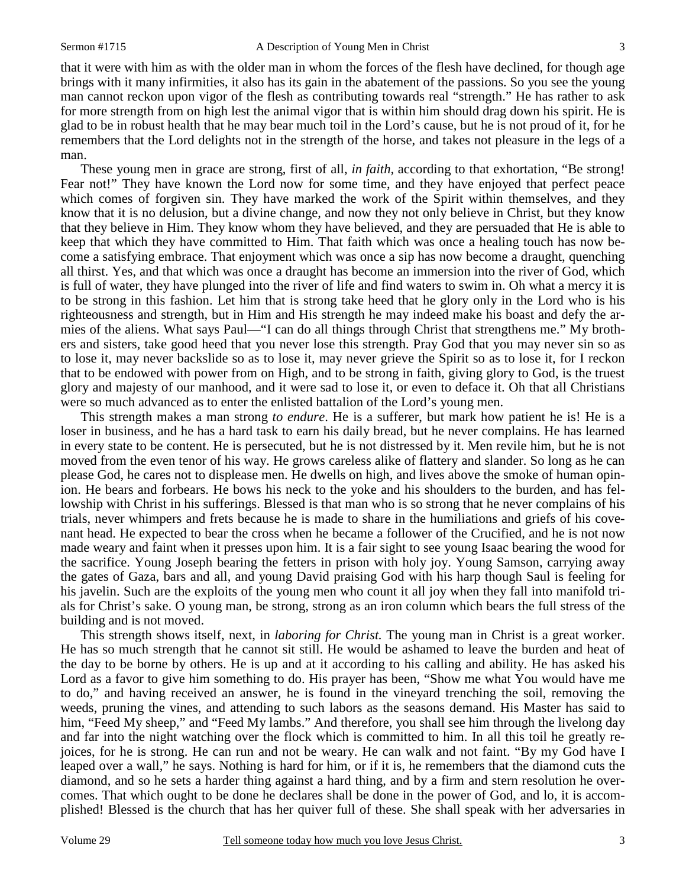that it were with him as with the older man in whom the forces of the flesh have declined, for though age brings with it many infirmities, it also has its gain in the abatement of the passions. So you see the young man cannot reckon upon vigor of the flesh as contributing towards real "strength." He has rather to ask for more strength from on high lest the animal vigor that is within him should drag down his spirit. He is glad to be in robust health that he may bear much toil in the Lord's cause, but he is not proud of it, for he remembers that the Lord delights not in the strength of the horse, and takes not pleasure in the legs of a man.

 These young men in grace are strong, first of all, *in faith,* according to that exhortation, "Be strong! Fear not!" They have known the Lord now for some time, and they have enjoyed that perfect peace which comes of forgiven sin. They have marked the work of the Spirit within themselves, and they know that it is no delusion, but a divine change, and now they not only believe in Christ, but they know that they believe in Him. They know whom they have believed, and they are persuaded that He is able to keep that which they have committed to Him. That faith which was once a healing touch has now become a satisfying embrace. That enjoyment which was once a sip has now become a draught, quenching all thirst. Yes, and that which was once a draught has become an immersion into the river of God, which is full of water, they have plunged into the river of life and find waters to swim in. Oh what a mercy it is to be strong in this fashion. Let him that is strong take heed that he glory only in the Lord who is his righteousness and strength, but in Him and His strength he may indeed make his boast and defy the armies of the aliens. What says Paul—"I can do all things through Christ that strengthens me." My brothers and sisters, take good heed that you never lose this strength. Pray God that you may never sin so as to lose it, may never backslide so as to lose it, may never grieve the Spirit so as to lose it, for I reckon that to be endowed with power from on High, and to be strong in faith, giving glory to God, is the truest glory and majesty of our manhood, and it were sad to lose it, or even to deface it. Oh that all Christians were so much advanced as to enter the enlisted battalion of the Lord's young men.

 This strength makes a man strong *to endure*. He is a sufferer, but mark how patient he is! He is a loser in business, and he has a hard task to earn his daily bread, but he never complains. He has learned in every state to be content. He is persecuted, but he is not distressed by it. Men revile him, but he is not moved from the even tenor of his way. He grows careless alike of flattery and slander. So long as he can please God, he cares not to displease men. He dwells on high, and lives above the smoke of human opinion. He bears and forbears. He bows his neck to the yoke and his shoulders to the burden, and has fellowship with Christ in his sufferings. Blessed is that man who is so strong that he never complains of his trials, never whimpers and frets because he is made to share in the humiliations and griefs of his covenant head. He expected to bear the cross when he became a follower of the Crucified, and he is not now made weary and faint when it presses upon him. It is a fair sight to see young Isaac bearing the wood for the sacrifice. Young Joseph bearing the fetters in prison with holy joy. Young Samson, carrying away the gates of Gaza, bars and all, and young David praising God with his harp though Saul is feeling for his javelin. Such are the exploits of the young men who count it all joy when they fall into manifold trials for Christ's sake. O young man, be strong, strong as an iron column which bears the full stress of the building and is not moved.

 This strength shows itself, next, in *laboring for Christ.* The young man in Christ is a great worker. He has so much strength that he cannot sit still. He would be ashamed to leave the burden and heat of the day to be borne by others. He is up and at it according to his calling and ability. He has asked his Lord as a favor to give him something to do. His prayer has been, "Show me what You would have me to do," and having received an answer, he is found in the vineyard trenching the soil, removing the weeds, pruning the vines, and attending to such labors as the seasons demand. His Master has said to him, "Feed My sheep," and "Feed My lambs." And therefore, you shall see him through the livelong day and far into the night watching over the flock which is committed to him. In all this toil he greatly rejoices, for he is strong. He can run and not be weary. He can walk and not faint. "By my God have I leaped over a wall," he says. Nothing is hard for him, or if it is, he remembers that the diamond cuts the diamond, and so he sets a harder thing against a hard thing, and by a firm and stern resolution he overcomes. That which ought to be done he declares shall be done in the power of God, and lo, it is accomplished! Blessed is the church that has her quiver full of these. She shall speak with her adversaries in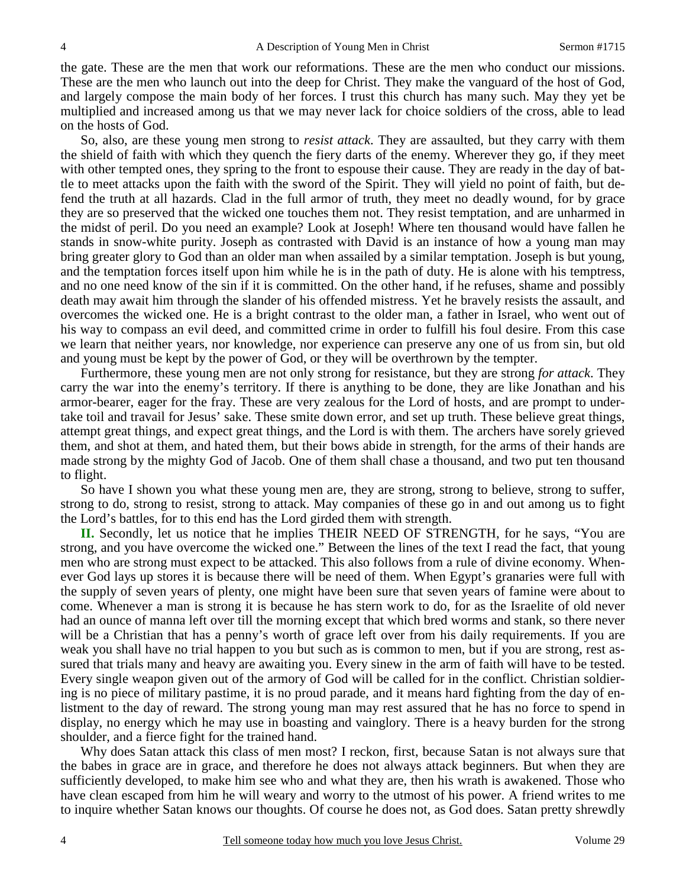the gate. These are the men that work our reformations. These are the men who conduct our missions. These are the men who launch out into the deep for Christ. They make the vanguard of the host of God, and largely compose the main body of her forces. I trust this church has many such. May they yet be multiplied and increased among us that we may never lack for choice soldiers of the cross, able to lead on the hosts of God.

 So, also, are these young men strong to *resist attack*. They are assaulted, but they carry with them the shield of faith with which they quench the fiery darts of the enemy. Wherever they go, if they meet with other tempted ones, they spring to the front to espouse their cause. They are ready in the day of battle to meet attacks upon the faith with the sword of the Spirit. They will yield no point of faith, but defend the truth at all hazards. Clad in the full armor of truth, they meet no deadly wound, for by grace they are so preserved that the wicked one touches them not. They resist temptation, and are unharmed in the midst of peril. Do you need an example? Look at Joseph! Where ten thousand would have fallen he stands in snow-white purity. Joseph as contrasted with David is an instance of how a young man may bring greater glory to God than an older man when assailed by a similar temptation. Joseph is but young, and the temptation forces itself upon him while he is in the path of duty. He is alone with his temptress, and no one need know of the sin if it is committed. On the other hand, if he refuses, shame and possibly death may await him through the slander of his offended mistress. Yet he bravely resists the assault, and overcomes the wicked one. He is a bright contrast to the older man, a father in Israel, who went out of his way to compass an evil deed, and committed crime in order to fulfill his foul desire. From this case we learn that neither years, nor knowledge, nor experience can preserve any one of us from sin, but old and young must be kept by the power of God, or they will be overthrown by the tempter.

 Furthermore, these young men are not only strong for resistance, but they are strong *for attack*. They carry the war into the enemy's territory. If there is anything to be done, they are like Jonathan and his armor-bearer, eager for the fray. These are very zealous for the Lord of hosts, and are prompt to undertake toil and travail for Jesus' sake. These smite down error, and set up truth. These believe great things, attempt great things, and expect great things, and the Lord is with them. The archers have sorely grieved them, and shot at them, and hated them, but their bows abide in strength, for the arms of their hands are made strong by the mighty God of Jacob. One of them shall chase a thousand, and two put ten thousand to flight.

 So have I shown you what these young men are, they are strong, strong to believe, strong to suffer, strong to do, strong to resist, strong to attack. May companies of these go in and out among us to fight the Lord's battles, for to this end has the Lord girded them with strength.

**II.** Secondly, let us notice that he implies THEIR NEED OF STRENGTH, for he says, "You are strong, and you have overcome the wicked one." Between the lines of the text I read the fact, that young men who are strong must expect to be attacked. This also follows from a rule of divine economy. Whenever God lays up stores it is because there will be need of them. When Egypt's granaries were full with the supply of seven years of plenty, one might have been sure that seven years of famine were about to come. Whenever a man is strong it is because he has stern work to do, for as the Israelite of old never had an ounce of manna left over till the morning except that which bred worms and stank, so there never will be a Christian that has a penny's worth of grace left over from his daily requirements. If you are weak you shall have no trial happen to you but such as is common to men, but if you are strong, rest assured that trials many and heavy are awaiting you. Every sinew in the arm of faith will have to be tested. Every single weapon given out of the armory of God will be called for in the conflict. Christian soldiering is no piece of military pastime, it is no proud parade, and it means hard fighting from the day of enlistment to the day of reward. The strong young man may rest assured that he has no force to spend in display, no energy which he may use in boasting and vainglory. There is a heavy burden for the strong shoulder, and a fierce fight for the trained hand.

 Why does Satan attack this class of men most? I reckon, first, because Satan is not always sure that the babes in grace are in grace, and therefore he does not always attack beginners. But when they are sufficiently developed, to make him see who and what they are, then his wrath is awakened. Those who have clean escaped from him he will weary and worry to the utmost of his power. A friend writes to me to inquire whether Satan knows our thoughts. Of course he does not, as God does. Satan pretty shrewdly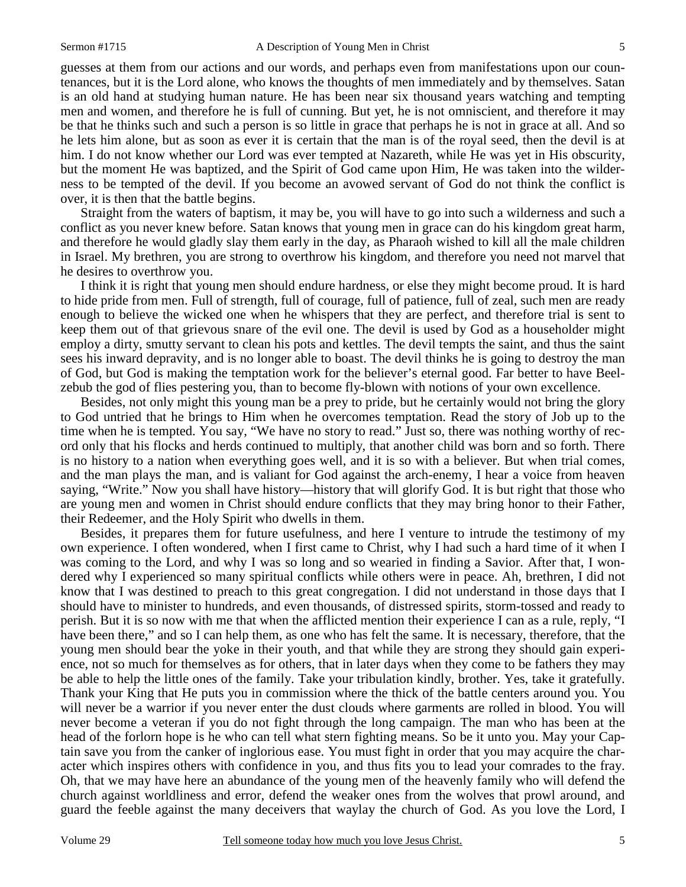guesses at them from our actions and our words, and perhaps even from manifestations upon our countenances, but it is the Lord alone, who knows the thoughts of men immediately and by themselves. Satan is an old hand at studying human nature. He has been near six thousand years watching and tempting men and women, and therefore he is full of cunning. But yet, he is not omniscient, and therefore it may be that he thinks such and such a person is so little in grace that perhaps he is not in grace at all. And so he lets him alone, but as soon as ever it is certain that the man is of the royal seed, then the devil is at him. I do not know whether our Lord was ever tempted at Nazareth, while He was yet in His obscurity, but the moment He was baptized, and the Spirit of God came upon Him, He was taken into the wilderness to be tempted of the devil. If you become an avowed servant of God do not think the conflict is over, it is then that the battle begins.

 Straight from the waters of baptism, it may be, you will have to go into such a wilderness and such a conflict as you never knew before. Satan knows that young men in grace can do his kingdom great harm, and therefore he would gladly slay them early in the day, as Pharaoh wished to kill all the male children in Israel. My brethren, you are strong to overthrow his kingdom, and therefore you need not marvel that he desires to overthrow you.

 I think it is right that young men should endure hardness, or else they might become proud. It is hard to hide pride from men. Full of strength, full of courage, full of patience, full of zeal, such men are ready enough to believe the wicked one when he whispers that they are perfect, and therefore trial is sent to keep them out of that grievous snare of the evil one. The devil is used by God as a householder might employ a dirty, smutty servant to clean his pots and kettles. The devil tempts the saint, and thus the saint sees his inward depravity, and is no longer able to boast. The devil thinks he is going to destroy the man of God, but God is making the temptation work for the believer's eternal good. Far better to have Beelzebub the god of flies pestering you, than to become fly-blown with notions of your own excellence.

 Besides, not only might this young man be a prey to pride, but he certainly would not bring the glory to God untried that he brings to Him when he overcomes temptation. Read the story of Job up to the time when he is tempted. You say, "We have no story to read." Just so, there was nothing worthy of record only that his flocks and herds continued to multiply, that another child was born and so forth. There is no history to a nation when everything goes well, and it is so with a believer. But when trial comes, and the man plays the man, and is valiant for God against the arch-enemy, I hear a voice from heaven saying, "Write." Now you shall have history—history that will glorify God. It is but right that those who are young men and women in Christ should endure conflicts that they may bring honor to their Father, their Redeemer, and the Holy Spirit who dwells in them.

 Besides, it prepares them for future usefulness, and here I venture to intrude the testimony of my own experience. I often wondered, when I first came to Christ, why I had such a hard time of it when I was coming to the Lord, and why I was so long and so wearied in finding a Savior. After that, I wondered why I experienced so many spiritual conflicts while others were in peace. Ah, brethren, I did not know that I was destined to preach to this great congregation. I did not understand in those days that I should have to minister to hundreds, and even thousands, of distressed spirits, storm-tossed and ready to perish. But it is so now with me that when the afflicted mention their experience I can as a rule, reply, "I have been there," and so I can help them, as one who has felt the same. It is necessary, therefore, that the young men should bear the yoke in their youth, and that while they are strong they should gain experience, not so much for themselves as for others, that in later days when they come to be fathers they may be able to help the little ones of the family. Take your tribulation kindly, brother. Yes, take it gratefully. Thank your King that He puts you in commission where the thick of the battle centers around you. You will never be a warrior if you never enter the dust clouds where garments are rolled in blood. You will never become a veteran if you do not fight through the long campaign. The man who has been at the head of the forlorn hope is he who can tell what stern fighting means. So be it unto you. May your Captain save you from the canker of inglorious ease. You must fight in order that you may acquire the character which inspires others with confidence in you, and thus fits you to lead your comrades to the fray. Oh, that we may have here an abundance of the young men of the heavenly family who will defend the church against worldliness and error, defend the weaker ones from the wolves that prowl around, and guard the feeble against the many deceivers that waylay the church of God. As you love the Lord, I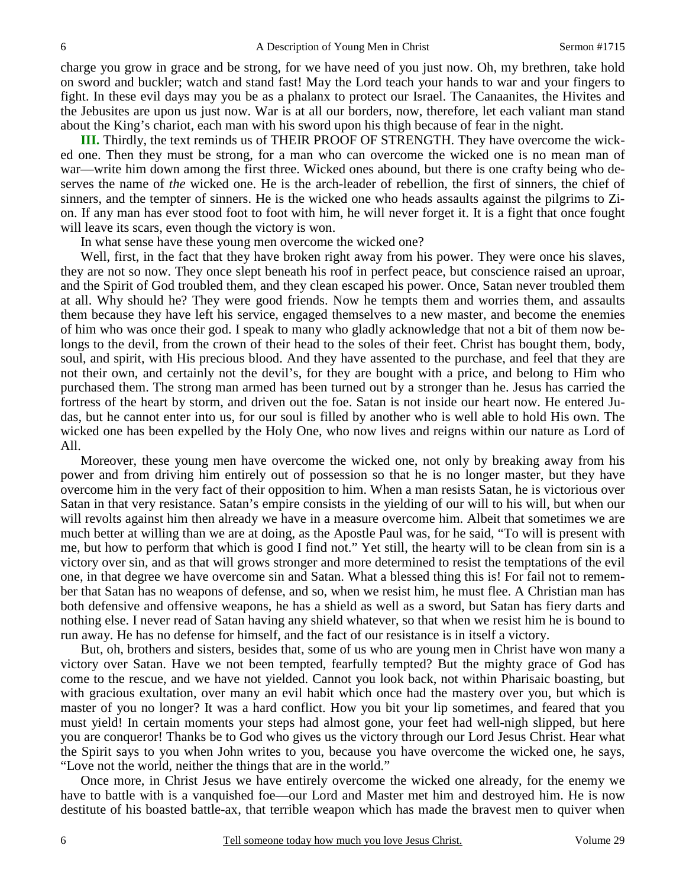charge you grow in grace and be strong, for we have need of you just now. Oh, my brethren, take hold on sword and buckler; watch and stand fast! May the Lord teach your hands to war and your fingers to fight. In these evil days may you be as a phalanx to protect our Israel. The Canaanites, the Hivites and the Jebusites are upon us just now. War is at all our borders, now, therefore, let each valiant man stand about the King's chariot, each man with his sword upon his thigh because of fear in the night.

**III.** Thirdly, the text reminds us of THEIR PROOF OF STRENGTH. They have overcome the wicked one. Then they must be strong, for a man who can overcome the wicked one is no mean man of war—write him down among the first three. Wicked ones abound, but there is one crafty being who deserves the name of *the* wicked one. He is the arch-leader of rebellion, the first of sinners, the chief of sinners, and the tempter of sinners. He is the wicked one who heads assaults against the pilgrims to Zion. If any man has ever stood foot to foot with him, he will never forget it. It is a fight that once fought will leave its scars, even though the victory is won.

In what sense have these young men overcome the wicked one?

 Well, first, in the fact that they have broken right away from his power. They were once his slaves, they are not so now. They once slept beneath his roof in perfect peace, but conscience raised an uproar, and the Spirit of God troubled them, and they clean escaped his power. Once, Satan never troubled them at all. Why should he? They were good friends. Now he tempts them and worries them, and assaults them because they have left his service, engaged themselves to a new master, and become the enemies of him who was once their god. I speak to many who gladly acknowledge that not a bit of them now belongs to the devil, from the crown of their head to the soles of their feet. Christ has bought them, body, soul, and spirit, with His precious blood. And they have assented to the purchase, and feel that they are not their own, and certainly not the devil's, for they are bought with a price, and belong to Him who purchased them. The strong man armed has been turned out by a stronger than he. Jesus has carried the fortress of the heart by storm, and driven out the foe. Satan is not inside our heart now. He entered Judas, but he cannot enter into us, for our soul is filled by another who is well able to hold His own. The wicked one has been expelled by the Holy One, who now lives and reigns within our nature as Lord of All.

 Moreover, these young men have overcome the wicked one, not only by breaking away from his power and from driving him entirely out of possession so that he is no longer master, but they have overcome him in the very fact of their opposition to him. When a man resists Satan, he is victorious over Satan in that very resistance. Satan's empire consists in the yielding of our will to his will, but when our will revolts against him then already we have in a measure overcome him. Albeit that sometimes we are much better at willing than we are at doing, as the Apostle Paul was, for he said, "To will is present with me, but how to perform that which is good I find not." Yet still, the hearty will to be clean from sin is a victory over sin, and as that will grows stronger and more determined to resist the temptations of the evil one, in that degree we have overcome sin and Satan. What a blessed thing this is! For fail not to remember that Satan has no weapons of defense, and so, when we resist him, he must flee. A Christian man has both defensive and offensive weapons, he has a shield as well as a sword, but Satan has fiery darts and nothing else. I never read of Satan having any shield whatever, so that when we resist him he is bound to run away. He has no defense for himself, and the fact of our resistance is in itself a victory.

 But, oh, brothers and sisters, besides that, some of us who are young men in Christ have won many a victory over Satan. Have we not been tempted, fearfully tempted? But the mighty grace of God has come to the rescue, and we have not yielded. Cannot you look back, not within Pharisaic boasting, but with gracious exultation, over many an evil habit which once had the mastery over you, but which is master of you no longer? It was a hard conflict. How you bit your lip sometimes, and feared that you must yield! In certain moments your steps had almost gone, your feet had well-nigh slipped, but here you are conqueror! Thanks be to God who gives us the victory through our Lord Jesus Christ. Hear what the Spirit says to you when John writes to you, because you have overcome the wicked one, he says, "Love not the world, neither the things that are in the world."

 Once more, in Christ Jesus we have entirely overcome the wicked one already, for the enemy we have to battle with is a vanquished foe—our Lord and Master met him and destroyed him. He is now destitute of his boasted battle-ax, that terrible weapon which has made the bravest men to quiver when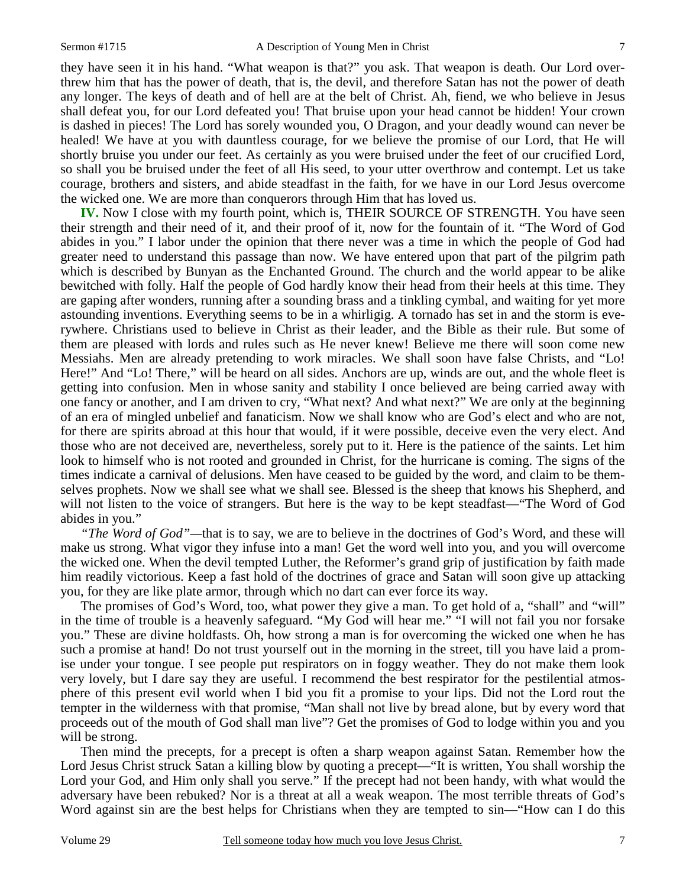they have seen it in his hand. "What weapon is that?" you ask. That weapon is death. Our Lord overthrew him that has the power of death, that is, the devil, and therefore Satan has not the power of death any longer. The keys of death and of hell are at the belt of Christ. Ah, fiend, we who believe in Jesus shall defeat you, for our Lord defeated you! That bruise upon your head cannot be hidden! Your crown is dashed in pieces! The Lord has sorely wounded you, O Dragon, and your deadly wound can never be healed! We have at you with dauntless courage, for we believe the promise of our Lord, that He will shortly bruise you under our feet. As certainly as you were bruised under the feet of our crucified Lord, so shall you be bruised under the feet of all His seed, to your utter overthrow and contempt. Let us take courage, brothers and sisters, and abide steadfast in the faith, for we have in our Lord Jesus overcome the wicked one. We are more than conquerors through Him that has loved us.

**IV.** Now I close with my fourth point, which is, THEIR SOURCE OF STRENGTH. You have seen their strength and their need of it, and their proof of it, now for the fountain of it. "The Word of God abides in you." I labor under the opinion that there never was a time in which the people of God had greater need to understand this passage than now. We have entered upon that part of the pilgrim path which is described by Bunyan as the Enchanted Ground. The church and the world appear to be alike bewitched with folly. Half the people of God hardly know their head from their heels at this time. They are gaping after wonders, running after a sounding brass and a tinkling cymbal, and waiting for yet more astounding inventions. Everything seems to be in a whirligig. A tornado has set in and the storm is everywhere. Christians used to believe in Christ as their leader, and the Bible as their rule. But some of them are pleased with lords and rules such as He never knew! Believe me there will soon come new Messiahs. Men are already pretending to work miracles. We shall soon have false Christs, and "Lo! Here!" And "Lo! There," will be heard on all sides. Anchors are up, winds are out, and the whole fleet is getting into confusion. Men in whose sanity and stability I once believed are being carried away with one fancy or another, and I am driven to cry, "What next? And what next?" We are only at the beginning of an era of mingled unbelief and fanaticism. Now we shall know who are God's elect and who are not, for there are spirits abroad at this hour that would, if it were possible, deceive even the very elect. And those who are not deceived are, nevertheless, sorely put to it. Here is the patience of the saints. Let him look to himself who is not rooted and grounded in Christ, for the hurricane is coming. The signs of the times indicate a carnival of delusions. Men have ceased to be guided by the word, and claim to be themselves prophets. Now we shall see what we shall see. Blessed is the sheep that knows his Shepherd, and will not listen to the voice of strangers. But here is the way to be kept steadfast—"The Word of God abides in you."

*"The Word of God"—*that is to say, we are to believe in the doctrines of God's Word, and these will make us strong. What vigor they infuse into a man! Get the word well into you, and you will overcome the wicked one. When the devil tempted Luther, the Reformer's grand grip of justification by faith made him readily victorious. Keep a fast hold of the doctrines of grace and Satan will soon give up attacking you, for they are like plate armor, through which no dart can ever force its way.

 The promises of God's Word, too, what power they give a man. To get hold of a, "shall" and "will" in the time of trouble is a heavenly safeguard. "My God will hear me." "I will not fail you nor forsake you." These are divine holdfasts. Oh, how strong a man is for overcoming the wicked one when he has such a promise at hand! Do not trust yourself out in the morning in the street, till you have laid a promise under your tongue. I see people put respirators on in foggy weather. They do not make them look very lovely, but I dare say they are useful. I recommend the best respirator for the pestilential atmosphere of this present evil world when I bid you fit a promise to your lips. Did not the Lord rout the tempter in the wilderness with that promise, "Man shall not live by bread alone, but by every word that proceeds out of the mouth of God shall man live"? Get the promises of God to lodge within you and you will be strong.

 Then mind the precepts, for a precept is often a sharp weapon against Satan. Remember how the Lord Jesus Christ struck Satan a killing blow by quoting a precept—"It is written, You shall worship the Lord your God, and Him only shall you serve." If the precept had not been handy, with what would the adversary have been rebuked? Nor is a threat at all a weak weapon. The most terrible threats of God's Word against sin are the best helps for Christians when they are tempted to sin—"How can I do this